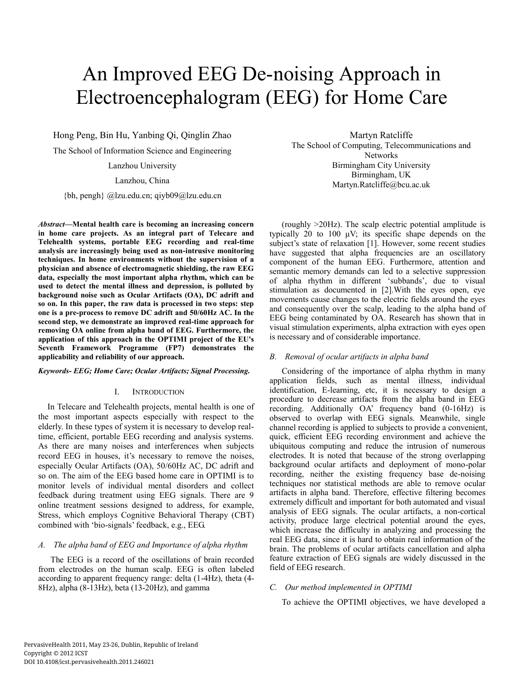# An Improved EEG De-noising Approach in Electroencephalogram (EEG) for Home Care

Hong Peng, Bin Hu, Yanbing Qi, Qinglin Zhao The School of Information Science and Engineering

Lanzhou University

## Lanzhou, China

{bh, pengh} @lzu.edu.cn; qiyb09@lzu.edu.cn

*Abstract***—Mental health care is becoming an increasing concern in home care projects. As an integral part of Telecare and Telehealth systems, portable EEG recording and real-time analysis are increasingly being used as non-intrusive monitoring techniques. In home environments without the supervision of a physician and absence of electromagnetic shielding, the raw EEG data, especially the most important alpha rhythm, which can be used to detect the mental illness and depression, is polluted by background noise such as Ocular Artifacts (OA), DC adrift and so on. In this paper, the raw data is processed in two steps: step one is a pre-process to remove DC adrift and 50/60Hz AC. In the second step, we demonstrate an improved real-time approach for removing OA online from alpha band of EEG. Furthermore, the application of this approach in the OPTIMI project of the EU's Seventh Framework Programme (FP7) demonstrates the applicability and reliability of our approach.** 

### *Keywords- EEG; Home Care; Ocular Artifacts; Signal Processing.*

#### I. INTRODUCTION

In Telecare and Telehealth projects, mental health is one of the most important aspects especially with respect to the elderly. In these types of system it is necessary to develop realtime, efficient, portable EEG recording and analysis systems. As there are many noises and interferences when subjects record EEG in houses, it's necessary to remove the noises, especially Ocular Artifacts (OA), 50/60Hz AC, DC adrift and so on. The aim of the EEG based home care in OPTIMI is to monitor levels of individual mental disorders and collect feedback during treatment using EEG signals. There are 9 online treatment sessions designed to address, for example, Stress, which employs Cognitive Behavioral Therapy (CBT) combined with 'bio-signals' feedback, e.g., EEG.

## *A. The alpha band of EEG and Importance of alpha rhythm*

The EEG is a record of the oscillations of brain recorded from electrodes on the human scalp. EEG is often labeled according to apparent frequency range: delta (1-4Hz), theta (4- 8Hz), alpha (8-13Hz), beta (13-20Hz), and gamma

Martyn Ratcliffe The School of Computing, Telecommunications and Networks Birmingham City University Birmingham, UK Martyn.Ratcliffe@bcu.ac.uk

(roughly >20Hz). The scalp electric potential amplitude is typically 20 to 100 μV; its specific shape depends on the subject's state of relaxation [1]. However, some recent studies have suggested that alpha frequencies are an oscillatory component of the human EEG. Furthermore, attention and semantic memory demands can led to a selective suppression of alpha rhythm in different 'subbands', due to visual stimulation as documented in [2].With the eyes open, eye movements cause changes to the electric fields around the eyes and consequently over the scalp, leading to the alpha band of EEG being contaminated by OA. Research has shown that in visual stimulation experiments, alpha extraction with eyes open is necessary and of considerable importance.

# *B. Removal of ocular artifacts in alpha band*

Considering of the importance of alpha rhythm in many application fields, such as mental illness, individual identification, E-learning, etc, it is necessary to design a procedure to decrease artifacts from the alpha band in EEG recording. Additionally OA' frequency band (0-16Hz) is observed to overlap with EEG signals. Meanwhile, single channel recording is applied to subjects to provide a convenient, quick, efficient EEG recording environment and achieve the ubiquitous computing and reduce the intrusion of numerous electrodes. It is noted that because of the strong overlapping background ocular artifacts and deployment of mono-polar recording, neither the existing frequency base de-noising techniques nor statistical methods are able to remove ocular artifacts in alpha band. Therefore, effective filtering becomes extremely difficult and important for both automated and visual analysis of EEG signals. The ocular artifacts, a non-cortical activity, produce large electrical potential around the eyes, which increase the difficulty in analyzing and processing the real EEG data, since it is hard to obtain real information of the brain. The problems of ocular artifacts cancellation and alpha feature extraction of EEG signals are widely discussed in the field of EEG research.

# *C. Our method implemented in OPTIMI*

To achieve the OPTIMI objectives, we have developed a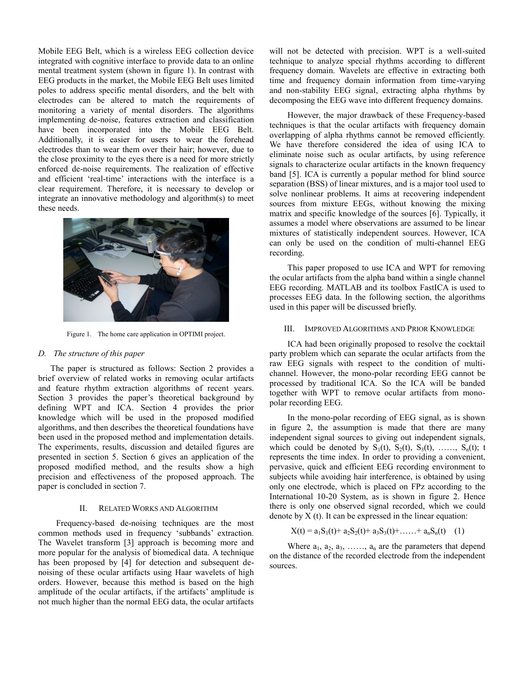Mobile EEG Belt, which is a wireless EEG collection device integrated with cognitive interface to provide data to an online mental treatment system (shown in figure 1). In contrast with EEG products in the market, the Mobile EEG Belt uses limited poles to address specific mental disorders, and the belt with electrodes can be altered to match the requirements of monitoring a variety of mental disorders. The algorithms implementing de-noise, features extraction and classification have been incorporated into the Mobile EEG Belt. Additionally, it is easier for users to wear the forehead electrodes than to wear them over their hair; however, due to the close proximity to the eyes there is a need for more strictly enforced de-noise requirements. The realization of effective and efficient 'real-time' interactions with the interface is a clear requirement. Therefore, it is necessary to develop or integrate an innovative methodology and algorithm(s) to meet these needs.



Figure 1. The home care application in OPTIMI project.

#### *D. The structure of this paper*

The paper is structured as follows: Section 2 provides a brief overview of related works in removing ocular artifacts and feature rhythm extraction algorithms of recent years. Section 3 provides the paper's theoretical background by defining WPT and ICA. Section 4 provides the prior knowledge which will be used in the proposed modified algorithms, and then describes the theoretical foundations have been used in the proposed method and implementation details. The experiments, results, discussion and detailed figures are presented in section 5. Section 6 gives an application of the proposed modified method, and the results show a high precision and effectiveness of the proposed approach. The paper is concluded in section 7.

# II. RELATED WORKS AND ALGORITHM

Frequency-based de-noising techniques are the most common methods used in frequency 'subbands' extraction. The Wavelet transform [3] approach is becoming more and more popular for the analysis of biomedical data. A technique has been proposed by [4] for detection and subsequent denoising of these ocular artifacts using Haar wavelets of high orders. However, because this method is based on the high amplitude of the ocular artifacts, if the artifacts' amplitude is not much higher than the normal EEG data, the ocular artifacts

will not be detected with precision. WPT is a well-suited technique to analyze special rhythms according to different frequency domain. Wavelets are effective in extracting both time and frequency domain information from time-varying and non-stability EEG signal, extracting alpha rhythms by decomposing the EEG wave into different frequency domains.

However, the major drawback of these Frequency-based techniques is that the ocular artifacts with frequency domain overlapping of alpha rhythms cannot be removed efficiently. We have therefore considered the idea of using ICA to eliminate noise such as ocular artifacts, by using reference signals to characterize ocular artifacts in the known frequency band [5]. ICA is currently a popular method for blind source separation (BSS) of linear mixtures, and is a major tool used to solve nonlinear problems. It aims at recovering independent sources from mixture EEGs, without knowing the mixing matrix and specific knowledge of the sources [6]. Typically, it assumes a model where observations are assumed to be linear mixtures of statistically independent sources. However, ICA can only be used on the condition of multi-channel EEG recording.

This paper proposed to use ICA and WPT for removing the ocular artifacts from the alpha band within a single channel EEG recording. MATLAB and its toolbox FastICA is used to processes EEG data. In the following section, the algorithms used in this paper will be discussed briefly.

#### III. IMPROVED ALGORITHMS AND PRIOR KNOWLEDGE

ICA had been originally proposed to resolve the cocktail party problem which can separate the ocular artifacts from the raw EEG signals with respect to the condition of multichannel. However, the mono-polar recording EEG cannot be processed by traditional ICA. So the ICA will be banded together with WPT to remove ocular artifacts from monopolar recording EEG.

In the mono-polar recording of EEG signal, as is shown in figure 2, the assumption is made that there are many independent signal sources to giving out independent signals, which could be denoted by  $S_1(t)$ ,  $S_2(t)$ ,  $S_3(t)$ , ……,  $S_n(t)$ ; t represents the time index. In order to providing a convenient, pervasive, quick and efficient EEG recording environment to subjects while avoiding hair interference, is obtained by using only one electrode, which is placed on FPz according to the International 10-20 System, as is shown in figure 2. Hence there is only one observed signal recorded, which we could denote by  $X(t)$ . It can be expressed in the linear equation:

$$
X(t) = a_1S_1(t) + a_2S_2(t) + a_3S_3(t) + \dots + a_nS_n(t) \quad (1)
$$

Where  $a_1, a_2, a_3, \ldots, a_n$  are the parameters that depend on the distance of the recorded electrode from the independent sources.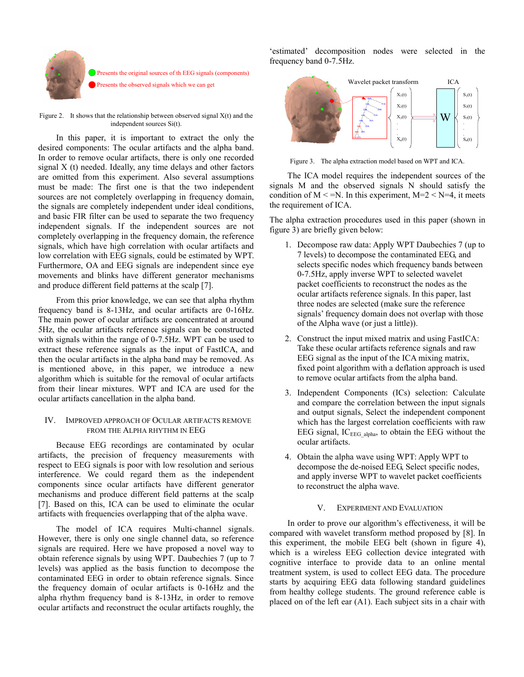

Presents the original sources of th EEG signals (components) Presents the observed signals which we can get

Figure 2. It shows that the relationship between observed signal  $X(t)$  and the independent sources Si(t).

In this paper, it is important to extract the only the desired components: The ocular artifacts and the alpha band. In order to remove ocular artifacts, there is only one recorded signal X (t) needed. Ideally, any time delays and other factors are omitted from this experiment. Also several assumptions must be made: The first one is that the two independent sources are not completely overlapping in frequency domain, the signals are completely independent under ideal conditions, and basic FIR filter can be used to separate the two frequency independent signals. If the independent sources are not completely overlapping in the frequency domain, the reference signals, which have high correlation with ocular artifacts and low correlation with EEG signals, could be estimated by WPT. Furthermore, OA and EEG signals are independent since eye movements and blinks have different generator mechanisms and produce different field patterns at the scalp [7].

From this prior knowledge, we can see that alpha rhythm frequency band is 8-13Hz, and ocular artifacts are 0-16Hz. The main power of ocular artifacts are concentrated at around 5Hz, the ocular artifacts reference signals can be constructed with signals within the range of 0-7.5Hz. WPT can be used to extract these reference signals as the input of FastICA, and then the ocular artifacts in the alpha band may be removed. As is mentioned above, in this paper, we introduce a new algorithm which is suitable for the removal of ocular artifacts from their linear mixtures. WPT and ICA are used for the ocular artifacts cancellation in the alpha band.

## IV. IMPROVED APPROACH OF OCULAR ARTIFACTS REMOVE FROM THE ALPHA RHYTHM IN EEG

Because EEG recordings are contaminated by ocular artifacts, the precision of frequency measurements with respect to EEG signals is poor with low resolution and serious interference. We could regard them as the independent components since ocular artifacts have different generator mechanisms and produce different field patterns at the scalp [7]. Based on this, ICA can be used to eliminate the ocular artifacts with frequencies overlapping that of the alpha wave.

The model of ICA requires Multi-channel signals. However, there is only one single channel data, so reference signals are required. Here we have proposed a novel way to obtain reference signals by using WPT. Daubechies 7 (up to 7 levels) was applied as the basis function to decompose the contaminated EEG in order to obtain reference signals. Since the frequency domain of ocular artifacts is 0-16Hz and the alpha rhythm frequency band is 8-13Hz, in order to remove ocular artifacts and reconstruct the ocular artifacts roughly, the

'estimated' decomposition nodes were selected in the frequency band 0-7.5Hz.



Figure 3. The alpha extraction model based on WPT and ICA.

The ICA model requires the independent sources of the signals M and the observed signals N should satisfy the condition of  $M \le N$ . In this experiment,  $M=2 \le N=4$ , it meets the requirement of ICA.

The alpha extraction procedures used in this paper (shown in figure 3) are briefly given below:

- 1. Decompose raw data: Apply WPT Daubechies 7 (up to 7 levels) to decompose the contaminated EEG, and selects specific nodes which frequency bands between 0-7.5Hz, apply inverse WPT to selected wavelet packet coefficients to reconstruct the nodes as the ocular artifacts reference signals. In this paper, last three nodes are selected (make sure the reference signals' frequency domain does not overlap with those of the Alpha wave (or just a little)).
- 2. Construct the input mixed matrix and using FastICA: Take these ocular artifacts reference signals and raw EEG signal as the input of the ICA mixing matrix, fixed point algorithm with a deflation approach is used to remove ocular artifacts from the alpha band.
- 3. Independent Components (ICs) selection: Calculate and compare the correlation between the input signals and output signals, Select the independent component which has the largest correlation coefficients with raw EEG signal, IC<sub>EEG alpha</sub>, to obtain the EEG without the ocular artifacts.
- 4. Obtain the alpha wave using WPT: Apply WPT to decompose the de-noised EEG, Select specific nodes, and apply inverse WPT to wavelet packet coefficients to reconstruct the alpha wave.

# V. EXPERIMENT AND EVALUATION

In order to prove our algorithm's effectiveness, it will be compared with wavelet transform method proposed by [8]. In this experiment, the mobile EEG belt (shown in figure 4), which is a wireless EEG collection device integrated with cognitive interface to provide data to an online mental treatment system, is used to collect EEG data. The procedure starts by acquiring EEG data following standard guidelines from healthy college students. The ground reference cable is placed on of the left ear (A1). Each subject sits in a chair with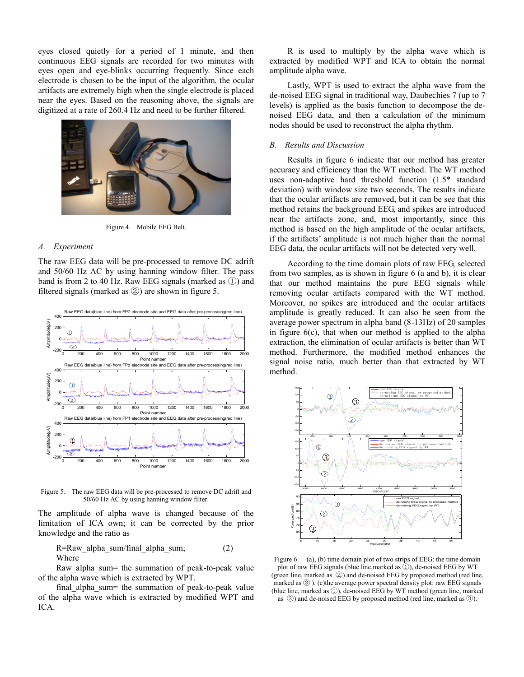eyes closed quietly for a period of 1 minute, and then continuous EEG signals are recorded for two minutes with eyes open and eye-blinks occurring frequently. Since each electrode is chosen to be the input of the algorithm, the ocular artifacts are extremely high when the single electrode is placed near the eyes. Based on the reasoning above, the signals are digitized at a rate of 260.4 Hz and need to be further filtered.



Figure 4. Mobile EEG Belt.

#### *A. Experiment*

The raw EEG data will be pre-processed to remove DC adrift and 50/60 Hz AC by using hanning window filter. The pass band is from 2 to 40 Hz. Raw EEG signals (marked as ①) and filtered signals (marked as ②) are shown in figure 5.



Figure 5. The raw EEG data will be pre-processed to remove DC adrift and 50/60 Hz AC by using hanning window filter.

The amplitude of alpha wave is changed because of the limitation of ICA own; it can be corrected by the prior knowledge and the ratio as

R=Raw alpha sum/final alpha sum;  $(2)$ Where

Raw\_alpha\_sum= the summation of peak-to-peak value of the alpha wave which is extracted by WPT.

final alpha sum= the summation of peak-to-peak value of the alpha wave which is extracted by modified WPT and ICA.

R is used to multiply by the alpha wave which is extracted by modified WPT and ICA to obtain the normal amplitude alpha wave.

Lastly, WPT is used to extract the alpha wave from the de-noised EEG signal in traditional way, Daubechies 7 (up to 7 levels) is applied as the basis function to decompose the denoised EEG data, and then a calculation of the minimum nodes should be used to reconstruct the alpha rhythm.

# *B. Results and Discussion*

Results in figure 6 indicate that our method has greater accuracy and efficiency than the WT method. The WT method uses non-adaptive hard threshold function (1.5\* standard deviation) with window size two seconds. The results indicate that the ocular artifacts are removed, but it can be see that this method retains the background EEG, and spikes are introduced near the artifacts zone, and, most importantly, since this method is based on the high amplitude of the ocular artifacts, if the artifacts' amplitude is not much higher than the normal EEG data, the ocular artifacts will not be detected very well.

According to the time domain plots of raw EEG, selected from two samples, as is shown in figure 6 (a and b), it is clear that our method maintains the pure EEG signals while removing ocular artifacts compared with the WT method. Moreover, no spikes are introduced and the ocular artifacts amplitude is greatly reduced. It can also be seen from the average power spectrum in alpha band (8-13Hz) of 20 samples in figure  $6(c)$ , that when our method is applied to the alpha extraction, the elimination of ocular artifacts is better than WT method. Furthermore, the modified method enhances the signal noise ratio, much better than that extracted by WT method.



Figure 6. (a), (b) time domain plot of two strips of EEG: the time domain plot of raw EEG signals (blue line, marked as  $(\tilde{l})$ ), de-noised EEG by WT (green line, marked as ②) and de-noised EEG by proposed method (red line, marked as ③ ). (c)the average power spectral density plot: raw EEG signals (blue line, marked as ①), de-noised EEG by WT method (green line, marked as ②) and de-noised EEG by proposed method (red line, marked as ③).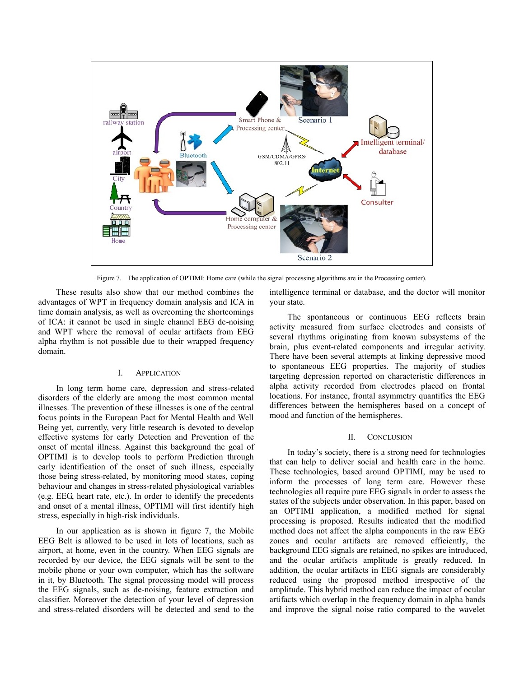

Figure 7. The application of OPTIMI: Home care (while the signal processing algorithms are in the Processing center).

These results also show that our method combines the advantages of WPT in frequency domain analysis and ICA in time domain analysis, as well as overcoming the shortcomings of ICA: it cannot be used in single channel EEG de-noising and WPT where the removal of ocular artifacts from EEG alpha rhythm is not possible due to their wrapped frequency domain.

# I. APPLICATION

In long term home care, depression and stress-related disorders of the elderly are among the most common mental illnesses. The prevention of these illnesses is one of the central focus points in the European Pact for Mental Health and Well Being yet, currently, very little research is devoted to develop effective systems for early Detection and Prevention of the onset of mental illness. Against this background the goal of OPTIMI is to develop tools to perform Prediction through early identification of the onset of such illness, especially those being stress-related, by monitoring mood states, coping behaviour and changes in stress-related physiological variables (e.g. EEG, heart rate, etc.). In order to identify the precedents and onset of a mental illness, OPTIMI will first identify high stress, especially in high-risk individuals.

In our application as is shown in figure 7, the Mobile EEG Belt is allowed to be used in lots of locations, such as airport, at home, even in the country. When EEG signals are recorded by our device, the EEG signals will be sent to the mobile phone or your own computer, which has the software in it, by Bluetooth. The signal processing model will process the EEG signals, such as de-noising, feature extraction and classifier. Moreover the detection of your level of depression and stress-related disorders will be detected and send to the

intelligence terminal or database, and the doctor will monitor your state.

The spontaneous or continuous EEG reflects brain activity measured from surface electrodes and consists of several rhythms originating from known subsystems of the brain, plus event-related components and irregular activity. There have been several attempts at linking depressive mood to spontaneous EEG properties. The majority of studies targeting depression reported on characteristic differences in alpha activity recorded from electrodes placed on frontal locations. For instance, frontal asymmetry quantifies the EEG differences between the hemispheres based on a concept of mood and function of the hemispheres.

#### II. CONCLUSION

In today's society, there is a strong need for technologies that can help to deliver social and health care in the home. These technologies, based around OPTIMI, may be used to inform the processes of long term care. However these technologies all require pure EEG signals in order to assess the states of the subjects under observation. In this paper, based on an OPTIMI application, a modified method for signal processing is proposed. Results indicated that the modified method does not affect the alpha components in the raw EEG zones and ocular artifacts are removed efficiently, the background EEG signals are retained, no spikes are introduced, and the ocular artifacts amplitude is greatly reduced. In addition, the ocular artifacts in EEG signals are considerably reduced using the proposed method irrespective of the amplitude. This hybrid method can reduce the impact of ocular artifacts which overlap in the frequency domain in alpha bands and improve the signal noise ratio compared to the wavelet